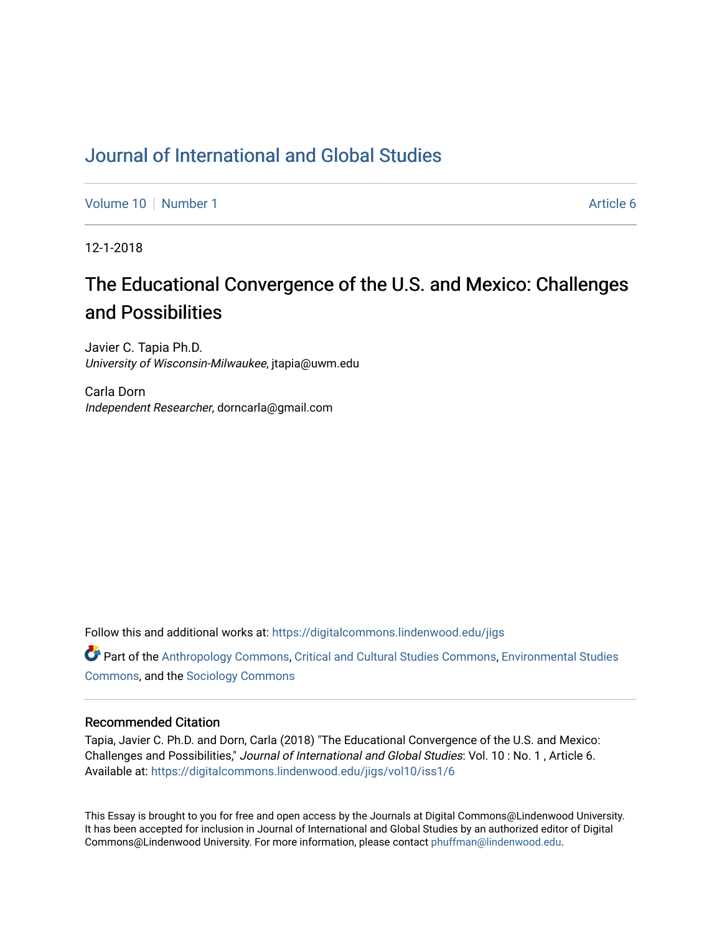# [Journal of International and Global Studies](https://digitalcommons.lindenwood.edu/jigs)

[Volume 10](https://digitalcommons.lindenwood.edu/jigs/vol10) [Number 1](https://digitalcommons.lindenwood.edu/jigs/vol10/iss1) Article 6

12-1-2018

# The Educational Convergence of the U.S. and Mexico: Challenges and Possibilities

Javier C. Tapia Ph.D. University of Wisconsin-Milwaukee, jtapia@uwm.edu

Carla Dorn Independent Researcher, dorncarla@gmail.com

Follow this and additional works at: [https://digitalcommons.lindenwood.edu/jigs](https://digitalcommons.lindenwood.edu/jigs?utm_source=digitalcommons.lindenwood.edu%2Fjigs%2Fvol10%2Fiss1%2F6&utm_medium=PDF&utm_campaign=PDFCoverPages) 

**C** Part of the [Anthropology Commons](http://network.bepress.com/hgg/discipline/318?utm_source=digitalcommons.lindenwood.edu%2Fjigs%2Fvol10%2Fiss1%2F6&utm_medium=PDF&utm_campaign=PDFCoverPages), [Critical and Cultural Studies Commons](http://network.bepress.com/hgg/discipline/328?utm_source=digitalcommons.lindenwood.edu%2Fjigs%2Fvol10%2Fiss1%2F6&utm_medium=PDF&utm_campaign=PDFCoverPages), Environmental Studies [Commons](http://network.bepress.com/hgg/discipline/1333?utm_source=digitalcommons.lindenwood.edu%2Fjigs%2Fvol10%2Fiss1%2F6&utm_medium=PDF&utm_campaign=PDFCoverPages), and the [Sociology Commons](http://network.bepress.com/hgg/discipline/416?utm_source=digitalcommons.lindenwood.edu%2Fjigs%2Fvol10%2Fiss1%2F6&utm_medium=PDF&utm_campaign=PDFCoverPages)

## Recommended Citation

Tapia, Javier C. Ph.D. and Dorn, Carla (2018) "The Educational Convergence of the U.S. and Mexico: Challenges and Possibilities," Journal of International and Global Studies: Vol. 10 : No. 1 , Article 6. Available at: [https://digitalcommons.lindenwood.edu/jigs/vol10/iss1/6](https://digitalcommons.lindenwood.edu/jigs/vol10/iss1/6?utm_source=digitalcommons.lindenwood.edu%2Fjigs%2Fvol10%2Fiss1%2F6&utm_medium=PDF&utm_campaign=PDFCoverPages) 

This Essay is brought to you for free and open access by the Journals at Digital Commons@Lindenwood University. It has been accepted for inclusion in Journal of International and Global Studies by an authorized editor of Digital Commons@Lindenwood University. For more information, please contact [phuffman@lindenwood.edu](mailto:phuffman@lindenwood.edu).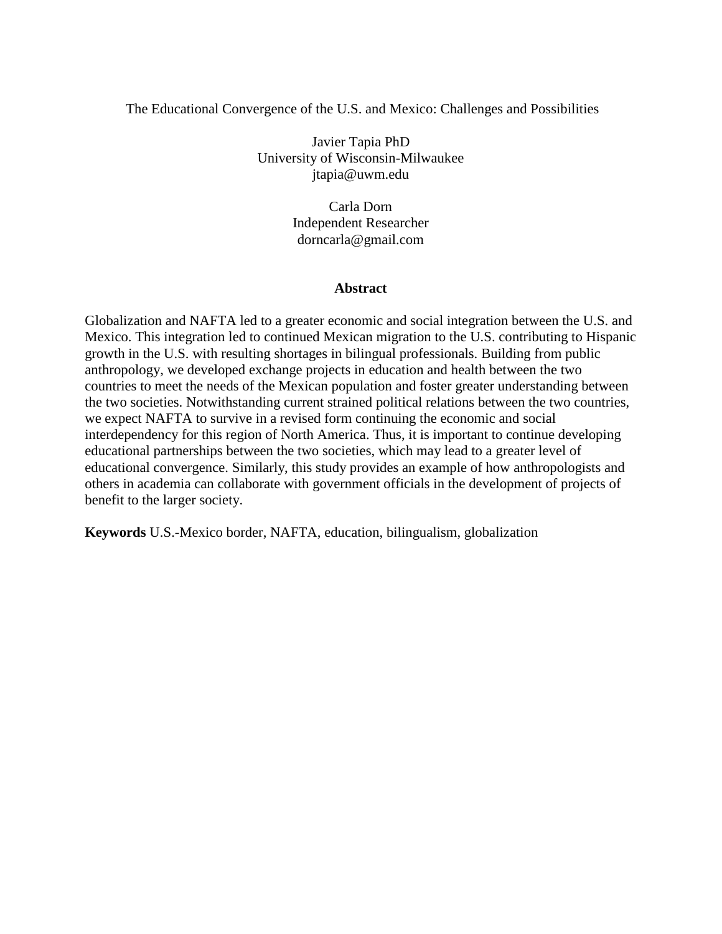# The Educational Convergence of the U.S. and Mexico: Challenges and Possibilities

Javier Tapia PhD University of Wisconsin-Milwaukee jtapia@uwm.edu

> Carla Dorn Independent Researcher dorncarla@gmail.com

# **Abstract**

Globalization and NAFTA led to a greater economic and social integration between the U.S. and Mexico. This integration led to continued Mexican migration to the U.S. contributing to Hispanic growth in the U.S. with resulting shortages in bilingual professionals. Building from public anthropology, we developed exchange projects in education and health between the two countries to meet the needs of the Mexican population and foster greater understanding between the two societies. Notwithstanding current strained political relations between the two countries, we expect NAFTA to survive in a revised form continuing the economic and social interdependency for this region of North America. Thus, it is important to continue developing educational partnerships between the two societies, which may lead to a greater level of educational convergence. Similarly, this study provides an example of how anthropologists and others in academia can collaborate with government officials in the development of projects of benefit to the larger society.

**Keywords** U.S.-Mexico border, NAFTA, education, bilingualism, globalization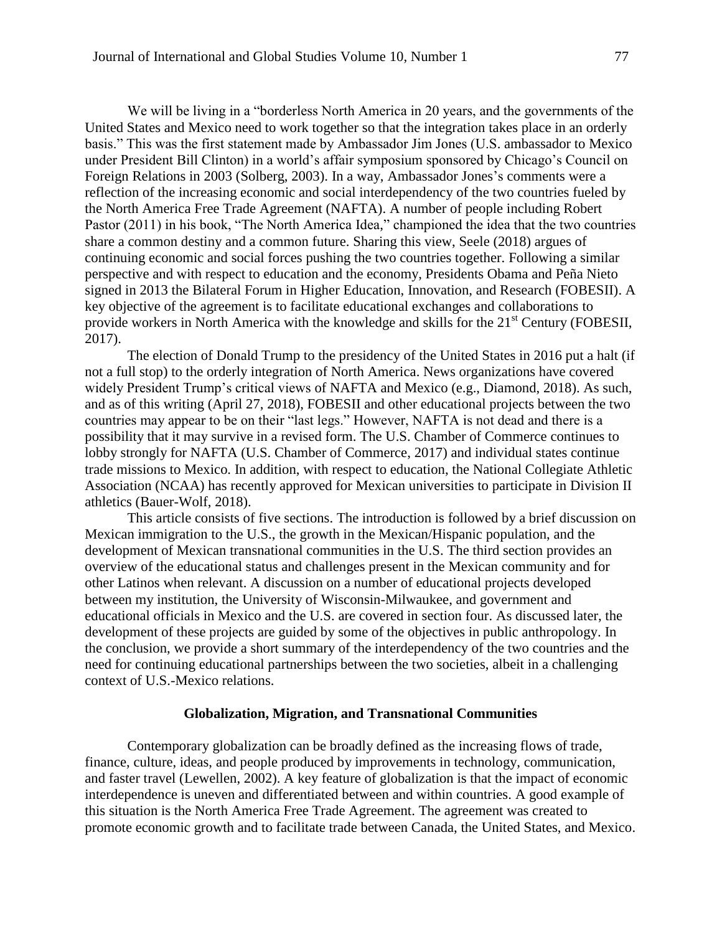We will be living in a "borderless North America in 20 years, and the governments of the United States and Mexico need to work together so that the integration takes place in an orderly basis." This was the first statement made by Ambassador Jim Jones (U.S. ambassador to Mexico under President Bill Clinton) in a world's affair symposium sponsored by Chicago's Council on Foreign Relations in 2003 (Solberg, 2003). In a way, Ambassador Jones's comments were a reflection of the increasing economic and social interdependency of the two countries fueled by the North America Free Trade Agreement (NAFTA). A number of people including Robert Pastor (2011) in his book, "The North America Idea," championed the idea that the two countries share a common destiny and a common future. Sharing this view, Seele (2018) argues of continuing economic and social forces pushing the two countries together. Following a similar perspective and with respect to education and the economy, Presidents Obama and Peña Nieto signed in 2013 the Bilateral Forum in Higher Education, Innovation, and Research (FOBESII). A key objective of the agreement is to facilitate educational exchanges and collaborations to provide workers in North America with the knowledge and skills for the 21<sup>st</sup> Century (FOBESII, 2017).

The election of Donald Trump to the presidency of the United States in 2016 put a halt (if not a full stop) to the orderly integration of North America. News organizations have covered widely President Trump's critical views of NAFTA and Mexico (e.g., Diamond, 2018). As such, and as of this writing (April 27, 2018), FOBESII and other educational projects between the two countries may appear to be on their "last legs." However, NAFTA is not dead and there is a possibility that it may survive in a revised form. The U.S. Chamber of Commerce continues to lobby strongly for NAFTA (U.S. Chamber of Commerce, 2017) and individual states continue trade missions to Mexico. In addition, with respect to education, the National Collegiate Athletic Association (NCAA) has recently approved for Mexican universities to participate in Division II athletics (Bauer-Wolf, 2018).

This article consists of five sections. The introduction is followed by a brief discussion on Mexican immigration to the U.S., the growth in the Mexican/Hispanic population, and the development of Mexican transnational communities in the U.S. The third section provides an overview of the educational status and challenges present in the Mexican community and for other Latinos when relevant. A discussion on a number of educational projects developed between my institution, the University of Wisconsin-Milwaukee, and government and educational officials in Mexico and the U.S. are covered in section four. As discussed later, the development of these projects are guided by some of the objectives in public anthropology. In the conclusion, we provide a short summary of the interdependency of the two countries and the need for continuing educational partnerships between the two societies, albeit in a challenging context of U.S.-Mexico relations.

#### **Globalization, Migration, and Transnational Communities**

Contemporary globalization can be broadly defined as the increasing flows of trade, finance, culture, ideas, and people produced by improvements in technology, communication, and faster travel (Lewellen, 2002). A key feature of globalization is that the impact of economic interdependence is uneven and differentiated between and within countries. A good example of this situation is the North America Free Trade Agreement. The agreement was created to promote economic growth and to facilitate trade between Canada, the United States, and Mexico.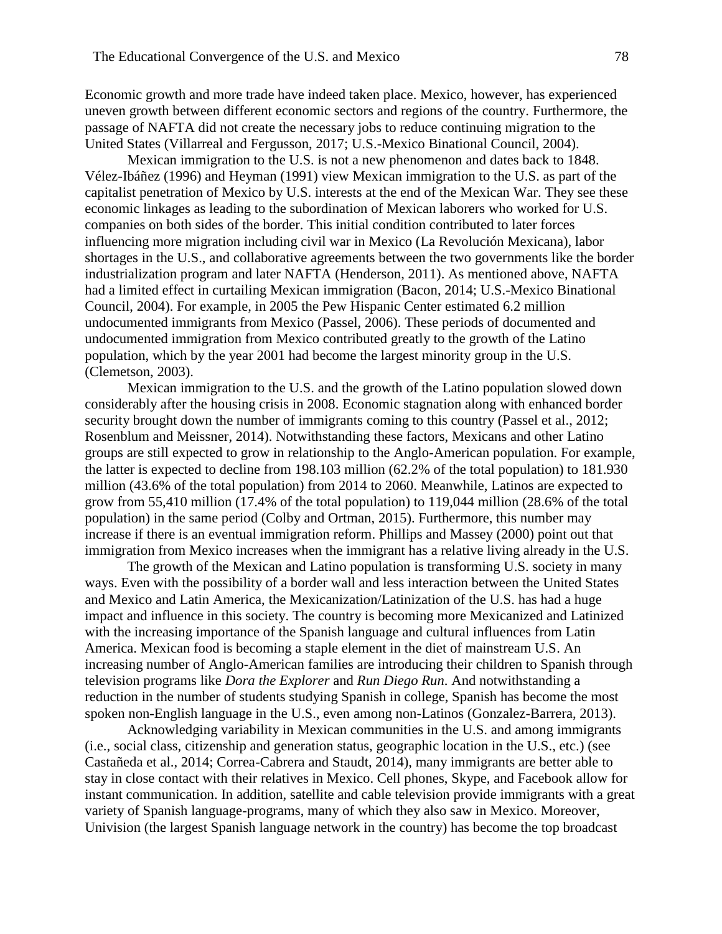Economic growth and more trade have indeed taken place. Mexico, however, has experienced uneven growth between different economic sectors and regions of the country. Furthermore, the passage of NAFTA did not create the necessary jobs to reduce continuing migration to the United States (Villarreal and Fergusson, 2017; U.S.-Mexico Binational Council, 2004).

Mexican immigration to the U.S. is not a new phenomenon and dates back to 1848. Vélez-Ibáñez (1996) and Heyman (1991) view Mexican immigration to the U.S. as part of the capitalist penetration of Mexico by U.S. interests at the end of the Mexican War. They see these economic linkages as leading to the subordination of Mexican laborers who worked for U.S. companies on both sides of the border. This initial condition contributed to later forces influencing more migration including civil war in Mexico (La Revolución Mexicana), labor shortages in the U.S., and collaborative agreements between the two governments like the border industrialization program and later NAFTA (Henderson, 2011). As mentioned above, NAFTA had a limited effect in curtailing Mexican immigration (Bacon, 2014; U.S.-Mexico Binational Council, 2004). For example, in 2005 the Pew Hispanic Center estimated 6.2 million undocumented immigrants from Mexico (Passel, 2006). These periods of documented and undocumented immigration from Mexico contributed greatly to the growth of the Latino population, which by the year 2001 had become the largest minority group in the U.S. (Clemetson, 2003).

Mexican immigration to the U.S. and the growth of the Latino population slowed down considerably after the housing crisis in 2008. Economic stagnation along with enhanced border security brought down the number of immigrants coming to this country (Passel et al., 2012; Rosenblum and Meissner, 2014). Notwithstanding these factors, Mexicans and other Latino groups are still expected to grow in relationship to the Anglo-American population. For example, the latter is expected to decline from 198.103 million (62.2% of the total population) to 181.930 million (43.6% of the total population) from 2014 to 2060. Meanwhile, Latinos are expected to grow from 55,410 million (17.4% of the total population) to 119,044 million (28.6% of the total population) in the same period (Colby and Ortman, 2015). Furthermore, this number may increase if there is an eventual immigration reform. Phillips and Massey (2000) point out that immigration from Mexico increases when the immigrant has a relative living already in the U.S.

The growth of the Mexican and Latino population is transforming U.S. society in many ways. Even with the possibility of a border wall and less interaction between the United States and Mexico and Latin America, the Mexicanization/Latinization of the U.S. has had a huge impact and influence in this society. The country is becoming more Mexicanized and Latinized with the increasing importance of the Spanish language and cultural influences from Latin America. Mexican food is becoming a staple element in the diet of mainstream U.S. An increasing number of Anglo-American families are introducing their children to Spanish through television programs like *Dora the Explorer* and *Run Diego Run*. And notwithstanding a reduction in the number of students studying Spanish in college, Spanish has become the most spoken non-English language in the U.S., even among non-Latinos (Gonzalez-Barrera, 2013).

Acknowledging variability in Mexican communities in the U.S. and among immigrants (i.e., social class, citizenship and generation status, geographic location in the U.S., etc.) (see Castañeda et al., 2014; Correa-Cabrera and Staudt, 2014), many immigrants are better able to stay in close contact with their relatives in Mexico. Cell phones, Skype, and Facebook allow for instant communication. In addition, satellite and cable television provide immigrants with a great variety of Spanish language-programs, many of which they also saw in Mexico. Moreover, Univision (the largest Spanish language network in the country) has become the top broadcast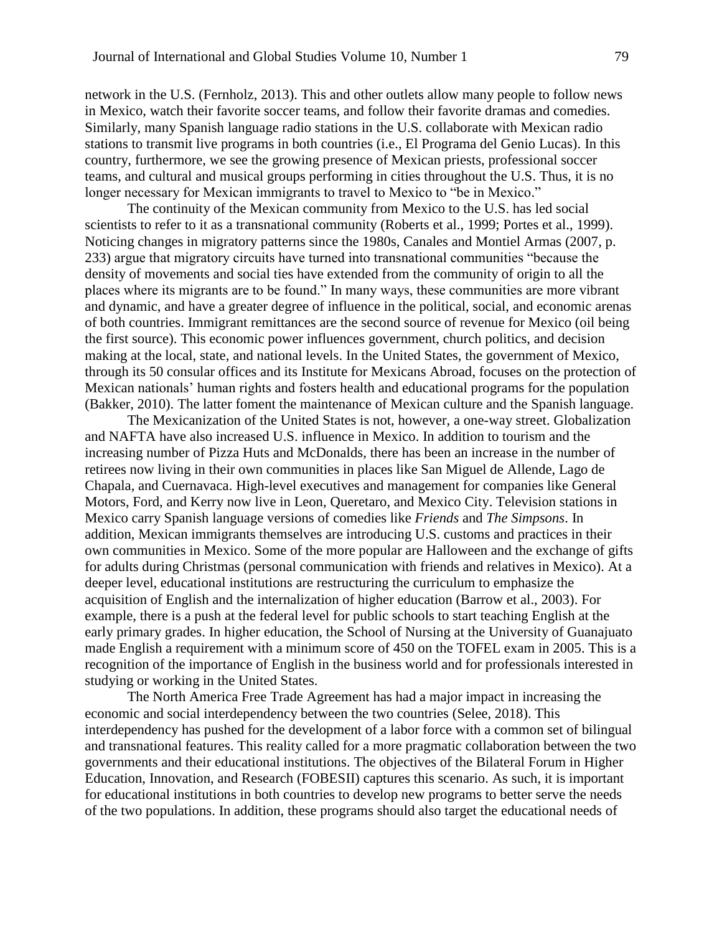network in the U.S. (Fernholz, 2013). This and other outlets allow many people to follow news in Mexico, watch their favorite soccer teams, and follow their favorite dramas and comedies. Similarly, many Spanish language radio stations in the U.S. collaborate with Mexican radio stations to transmit live programs in both countries (i.e., El Programa del Genio Lucas). In this country, furthermore, we see the growing presence of Mexican priests, professional soccer teams, and cultural and musical groups performing in cities throughout the U.S. Thus, it is no longer necessary for Mexican immigrants to travel to Mexico to "be in Mexico."

The continuity of the Mexican community from Mexico to the U.S. has led social scientists to refer to it as a transnational community (Roberts et al., 1999; Portes et al., 1999). Noticing changes in migratory patterns since the 1980s, Canales and Montiel Armas (2007, p. 233) argue that migratory circuits have turned into transnational communities "because the density of movements and social ties have extended from the community of origin to all the places where its migrants are to be found." In many ways, these communities are more vibrant and dynamic, and have a greater degree of influence in the political, social, and economic arenas of both countries. Immigrant remittances are the second source of revenue for Mexico (oil being the first source). This economic power influences government, church politics, and decision making at the local, state, and national levels. In the United States, the government of Mexico, through its 50 consular offices and its Institute for Mexicans Abroad, focuses on the protection of Mexican nationals' human rights and fosters health and educational programs for the population (Bakker, 2010). The latter foment the maintenance of Mexican culture and the Spanish language.

The Mexicanization of the United States is not, however, a one-way street. Globalization and NAFTA have also increased U.S. influence in Mexico. In addition to tourism and the increasing number of Pizza Huts and McDonalds, there has been an increase in the number of retirees now living in their own communities in places like San Miguel de Allende, Lago de Chapala, and Cuernavaca. High-level executives and management for companies like General Motors, Ford, and Kerry now live in Leon, Queretaro, and Mexico City. Television stations in Mexico carry Spanish language versions of comedies like *Friends* and *The Simpsons*. In addition, Mexican immigrants themselves are introducing U.S. customs and practices in their own communities in Mexico. Some of the more popular are Halloween and the exchange of gifts for adults during Christmas (personal communication with friends and relatives in Mexico). At a deeper level, educational institutions are restructuring the curriculum to emphasize the acquisition of English and the internalization of higher education (Barrow et al., 2003). For example, there is a push at the federal level for public schools to start teaching English at the early primary grades. In higher education, the School of Nursing at the University of Guanajuato made English a requirement with a minimum score of 450 on the TOFEL exam in 2005. This is a recognition of the importance of English in the business world and for professionals interested in studying or working in the United States.

The North America Free Trade Agreement has had a major impact in increasing the economic and social interdependency between the two countries (Selee, 2018). This interdependency has pushed for the development of a labor force with a common set of bilingual and transnational features. This reality called for a more pragmatic collaboration between the two governments and their educational institutions. The objectives of the Bilateral Forum in Higher Education, Innovation, and Research (FOBESII) captures this scenario. As such, it is important for educational institutions in both countries to develop new programs to better serve the needs of the two populations. In addition, these programs should also target the educational needs of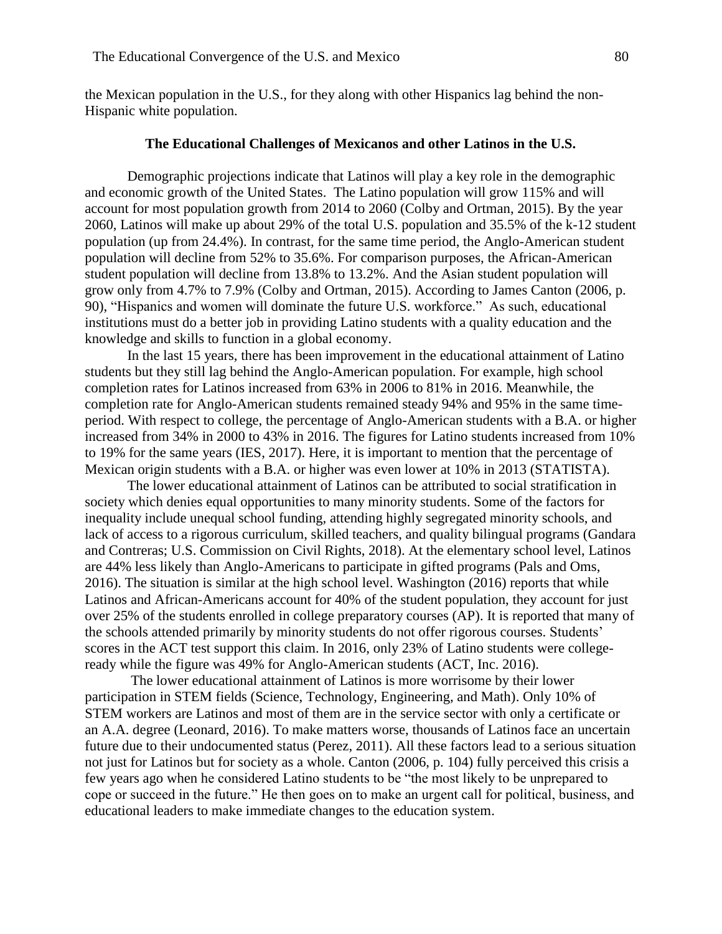the Mexican population in the U.S., for they along with other Hispanics lag behind the non-Hispanic white population.

#### **The Educational Challenges of Mexicanos and other Latinos in the U.S.**

Demographic projections indicate that Latinos will play a key role in the demographic and economic growth of the United States. The Latino population will grow 115% and will account for most population growth from 2014 to 2060 (Colby and Ortman, 2015). By the year 2060, Latinos will make up about 29% of the total U.S. population and 35.5% of the k-12 student population (up from 24.4%). In contrast, for the same time period, the Anglo-American student population will decline from 52% to 35.6%. For comparison purposes, the African-American student population will decline from 13.8% to 13.2%. And the Asian student population will grow only from 4.7% to 7.9% (Colby and Ortman, 2015). According to James Canton (2006, p. 90), "Hispanics and women will dominate the future U.S. workforce." As such, educational institutions must do a better job in providing Latino students with a quality education and the knowledge and skills to function in a global economy.

In the last 15 years, there has been improvement in the educational attainment of Latino students but they still lag behind the Anglo-American population. For example, high school completion rates for Latinos increased from 63% in 2006 to 81% in 2016. Meanwhile, the completion rate for Anglo-American students remained steady 94% and 95% in the same timeperiod. With respect to college, the percentage of Anglo-American students with a B.A. or higher increased from 34% in 2000 to 43% in 2016. The figures for Latino students increased from 10% to 19% for the same years (IES, 2017). Here, it is important to mention that the percentage of Mexican origin students with a B.A. or higher was even lower at 10% in 2013 (STATISTA).

The lower educational attainment of Latinos can be attributed to social stratification in society which denies equal opportunities to many minority students. Some of the factors for inequality include unequal school funding, attending highly segregated minority schools, and lack of access to a rigorous curriculum, skilled teachers, and quality bilingual programs (Gandara and Contreras; U.S. Commission on Civil Rights, 2018). At the elementary school level, Latinos are 44% less likely than Anglo-Americans to participate in gifted programs (Pals and Oms, 2016). The situation is similar at the high school level. Washington (2016) reports that while Latinos and African-Americans account for 40% of the student population, they account for just over 25% of the students enrolled in college preparatory courses (AP). It is reported that many of the schools attended primarily by minority students do not offer rigorous courses. Students' scores in the ACT test support this claim. In 2016, only 23% of Latino students were collegeready while the figure was 49% for Anglo-American students (ACT, Inc. 2016).

The lower educational attainment of Latinos is more worrisome by their lower participation in STEM fields (Science, Technology, Engineering, and Math). Only 10% of STEM workers are Latinos and most of them are in the service sector with only a certificate or an A.A. degree (Leonard, 2016). To make matters worse, thousands of Latinos face an uncertain future due to their undocumented status (Perez, 2011). All these factors lead to a serious situation not just for Latinos but for society as a whole. Canton (2006, p. 104) fully perceived this crisis a few years ago when he considered Latino students to be "the most likely to be unprepared to cope or succeed in the future." He then goes on to make an urgent call for political, business, and educational leaders to make immediate changes to the education system.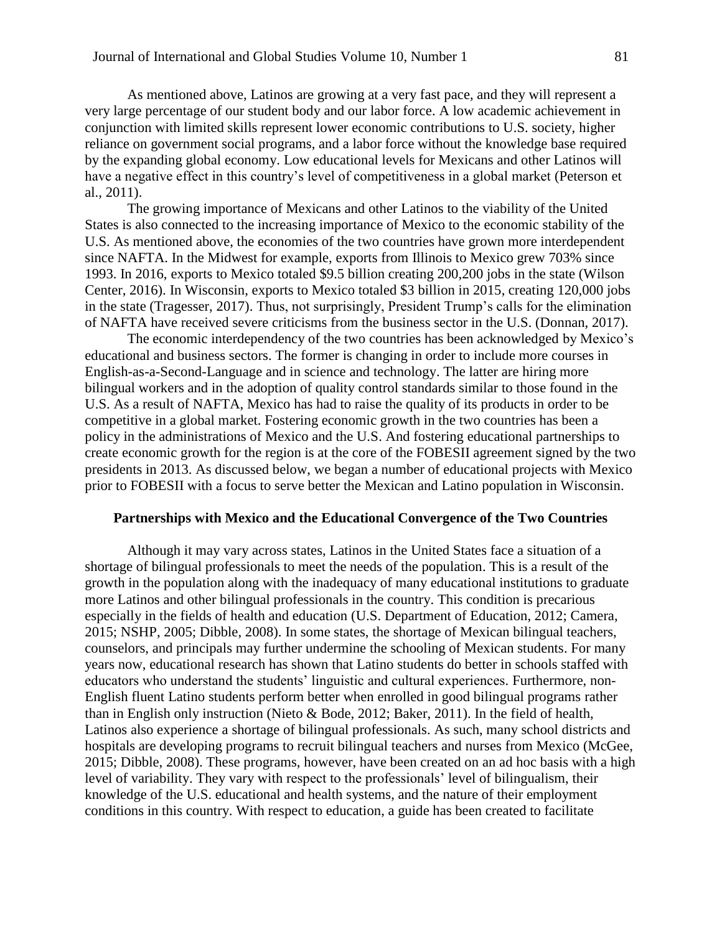As mentioned above, Latinos are growing at a very fast pace, and they will represent a very large percentage of our student body and our labor force. A low academic achievement in conjunction with limited skills represent lower economic contributions to U.S. society, higher reliance on government social programs, and a labor force without the knowledge base required by the expanding global economy. Low educational levels for Mexicans and other Latinos will have a negative effect in this country's level of competitiveness in a global market (Peterson et al., 2011).

The growing importance of Mexicans and other Latinos to the viability of the United States is also connected to the increasing importance of Mexico to the economic stability of the U.S. As mentioned above, the economies of the two countries have grown more interdependent since NAFTA. In the Midwest for example, exports from Illinois to Mexico grew 703% since 1993. In 2016, exports to Mexico totaled \$9.5 billion creating 200,200 jobs in the state (Wilson Center, 2016). In Wisconsin, exports to Mexico totaled \$3 billion in 2015, creating 120,000 jobs in the state (Tragesser, 2017). Thus, not surprisingly, President Trump's calls for the elimination of NAFTA have received severe criticisms from the business sector in the U.S. (Donnan, 2017).

The economic interdependency of the two countries has been acknowledged by Mexico's educational and business sectors. The former is changing in order to include more courses in English-as-a-Second-Language and in science and technology. The latter are hiring more bilingual workers and in the adoption of quality control standards similar to those found in the U.S. As a result of NAFTA, Mexico has had to raise the quality of its products in order to be competitive in a global market. Fostering economic growth in the two countries has been a policy in the administrations of Mexico and the U.S. And fostering educational partnerships to create economic growth for the region is at the core of the FOBESII agreement signed by the two presidents in 2013. As discussed below, we began a number of educational projects with Mexico prior to FOBESII with a focus to serve better the Mexican and Latino population in Wisconsin.

#### **Partnerships with Mexico and the Educational Convergence of the Two Countries**

Although it may vary across states, Latinos in the United States face a situation of a shortage of bilingual professionals to meet the needs of the population. This is a result of the growth in the population along with the inadequacy of many educational institutions to graduate more Latinos and other bilingual professionals in the country. This condition is precarious especially in the fields of health and education (U.S. Department of Education, 2012; Camera, 2015; NSHP, 2005; Dibble, 2008). In some states, the shortage of Mexican bilingual teachers, counselors, and principals may further undermine the schooling of Mexican students. For many years now, educational research has shown that Latino students do better in schools staffed with educators who understand the students' linguistic and cultural experiences. Furthermore, non-English fluent Latino students perform better when enrolled in good bilingual programs rather than in English only instruction (Nieto & Bode, 2012; Baker, 2011). In the field of health, Latinos also experience a shortage of bilingual professionals. As such, many school districts and hospitals are developing programs to recruit bilingual teachers and nurses from Mexico (McGee, 2015; Dibble, 2008). These programs, however, have been created on an ad hoc basis with a high level of variability. They vary with respect to the professionals' level of bilingualism, their knowledge of the U.S. educational and health systems, and the nature of their employment conditions in this country. With respect to education, a guide has been created to facilitate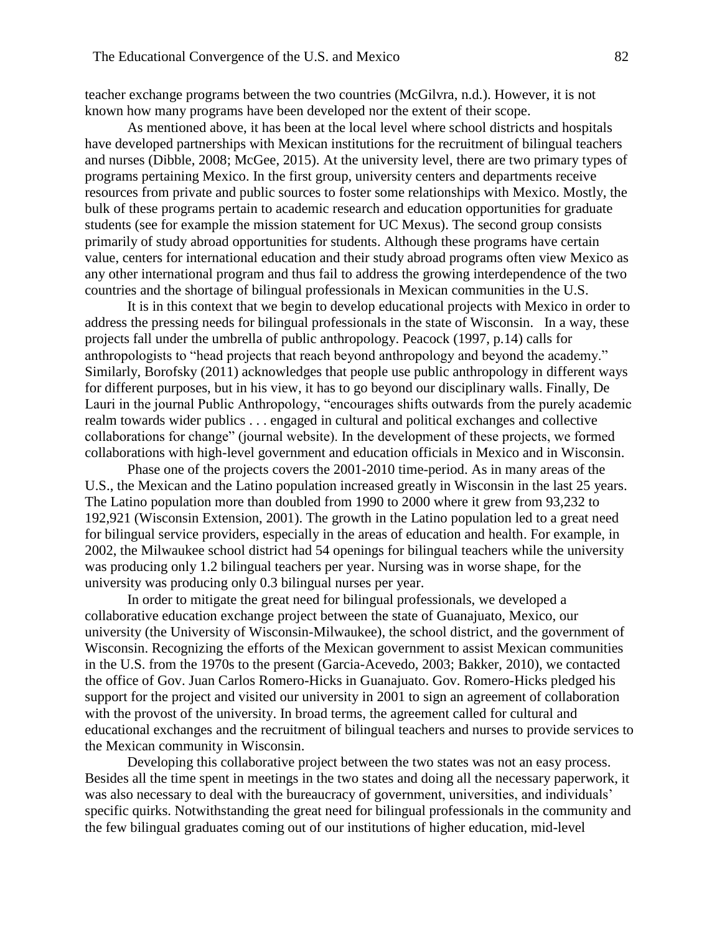teacher exchange programs between the two countries (McGilvra, n.d.). However, it is not known how many programs have been developed nor the extent of their scope.

As mentioned above, it has been at the local level where school districts and hospitals have developed partnerships with Mexican institutions for the recruitment of bilingual teachers and nurses (Dibble, 2008; McGee, 2015). At the university level, there are two primary types of programs pertaining Mexico. In the first group, university centers and departments receive resources from private and public sources to foster some relationships with Mexico. Mostly, the bulk of these programs pertain to academic research and education opportunities for graduate students (see for example the mission statement for UC Mexus). The second group consists primarily of study abroad opportunities for students. Although these programs have certain value, centers for international education and their study abroad programs often view Mexico as any other international program and thus fail to address the growing interdependence of the two countries and the shortage of bilingual professionals in Mexican communities in the U.S.

It is in this context that we begin to develop educational projects with Mexico in order to address the pressing needs for bilingual professionals in the state of Wisconsin. In a way, these projects fall under the umbrella of public anthropology. Peacock (1997, p.14) calls for anthropologists to "head projects that reach beyond anthropology and beyond the academy." Similarly, Borofsky (2011) acknowledges that people use public anthropology in different ways for different purposes, but in his view, it has to go beyond our disciplinary walls. Finally, De Lauri in the journal Public Anthropology, "encourages shifts outwards from the purely academic realm towards wider publics . . . engaged in cultural and political exchanges and collective collaborations for change" (journal website). In the development of these projects, we formed collaborations with high-level government and education officials in Mexico and in Wisconsin.

Phase one of the projects covers the 2001-2010 time-period. As in many areas of the U.S., the Mexican and the Latino population increased greatly in Wisconsin in the last 25 years. The Latino population more than doubled from 1990 to 2000 where it grew from 93,232 to 192,921 (Wisconsin Extension, 2001). The growth in the Latino population led to a great need for bilingual service providers, especially in the areas of education and health. For example, in 2002, the Milwaukee school district had 54 openings for bilingual teachers while the university was producing only 1.2 bilingual teachers per year. Nursing was in worse shape, for the university was producing only 0.3 bilingual nurses per year.

In order to mitigate the great need for bilingual professionals, we developed a collaborative education exchange project between the state of Guanajuato, Mexico, our university (the University of Wisconsin-Milwaukee), the school district, and the government of Wisconsin. Recognizing the efforts of the Mexican government to assist Mexican communities in the U.S. from the 1970s to the present (Garcia-Acevedo, 2003; Bakker, 2010), we contacted the office of Gov. Juan Carlos Romero-Hicks in Guanajuato. Gov. Romero-Hicks pledged his support for the project and visited our university in 2001 to sign an agreement of collaboration with the provost of the university. In broad terms, the agreement called for cultural and educational exchanges and the recruitment of bilingual teachers and nurses to provide services to the Mexican community in Wisconsin.

Developing this collaborative project between the two states was not an easy process. Besides all the time spent in meetings in the two states and doing all the necessary paperwork, it was also necessary to deal with the bureaucracy of government, universities, and individuals' specific quirks. Notwithstanding the great need for bilingual professionals in the community and the few bilingual graduates coming out of our institutions of higher education, mid-level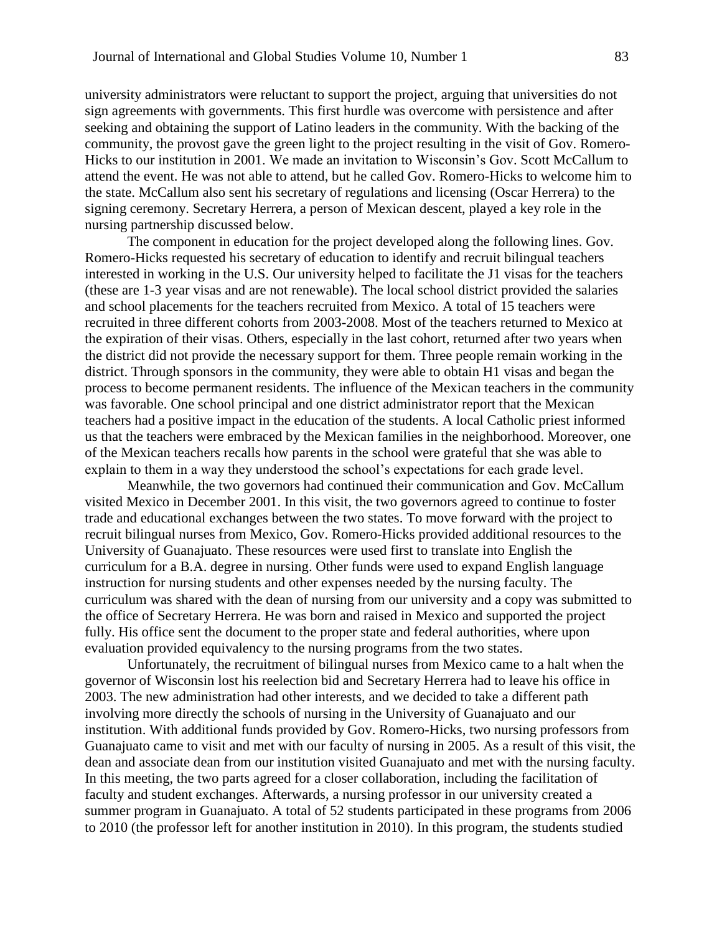university administrators were reluctant to support the project, arguing that universities do not sign agreements with governments. This first hurdle was overcome with persistence and after seeking and obtaining the support of Latino leaders in the community. With the backing of the community, the provost gave the green light to the project resulting in the visit of Gov. Romero-Hicks to our institution in 2001. We made an invitation to Wisconsin's Gov. Scott McCallum to attend the event. He was not able to attend, but he called Gov. Romero-Hicks to welcome him to the state. McCallum also sent his secretary of regulations and licensing (Oscar Herrera) to the signing ceremony. Secretary Herrera, a person of Mexican descent, played a key role in the nursing partnership discussed below.

The component in education for the project developed along the following lines. Gov. Romero-Hicks requested his secretary of education to identify and recruit bilingual teachers interested in working in the U.S. Our university helped to facilitate the J1 visas for the teachers (these are 1-3 year visas and are not renewable). The local school district provided the salaries and school placements for the teachers recruited from Mexico. A total of 15 teachers were recruited in three different cohorts from 2003-2008. Most of the teachers returned to Mexico at the expiration of their visas. Others, especially in the last cohort, returned after two years when the district did not provide the necessary support for them. Three people remain working in the district. Through sponsors in the community, they were able to obtain H1 visas and began the process to become permanent residents. The influence of the Mexican teachers in the community was favorable. One school principal and one district administrator report that the Mexican teachers had a positive impact in the education of the students. A local Catholic priest informed us that the teachers were embraced by the Mexican families in the neighborhood. Moreover, one of the Mexican teachers recalls how parents in the school were grateful that she was able to explain to them in a way they understood the school's expectations for each grade level.

Meanwhile, the two governors had continued their communication and Gov. McCallum visited Mexico in December 2001. In this visit, the two governors agreed to continue to foster trade and educational exchanges between the two states. To move forward with the project to recruit bilingual nurses from Mexico, Gov. Romero-Hicks provided additional resources to the University of Guanajuato. These resources were used first to translate into English the curriculum for a B.A. degree in nursing. Other funds were used to expand English language instruction for nursing students and other expenses needed by the nursing faculty. The curriculum was shared with the dean of nursing from our university and a copy was submitted to the office of Secretary Herrera. He was born and raised in Mexico and supported the project fully. His office sent the document to the proper state and federal authorities, where upon evaluation provided equivalency to the nursing programs from the two states.

Unfortunately, the recruitment of bilingual nurses from Mexico came to a halt when the governor of Wisconsin lost his reelection bid and Secretary Herrera had to leave his office in 2003. The new administration had other interests, and we decided to take a different path involving more directly the schools of nursing in the University of Guanajuato and our institution. With additional funds provided by Gov. Romero-Hicks, two nursing professors from Guanajuato came to visit and met with our faculty of nursing in 2005. As a result of this visit, the dean and associate dean from our institution visited Guanajuato and met with the nursing faculty. In this meeting, the two parts agreed for a closer collaboration, including the facilitation of faculty and student exchanges. Afterwards, a nursing professor in our university created a summer program in Guanajuato. A total of 52 students participated in these programs from 2006 to 2010 (the professor left for another institution in 2010). In this program, the students studied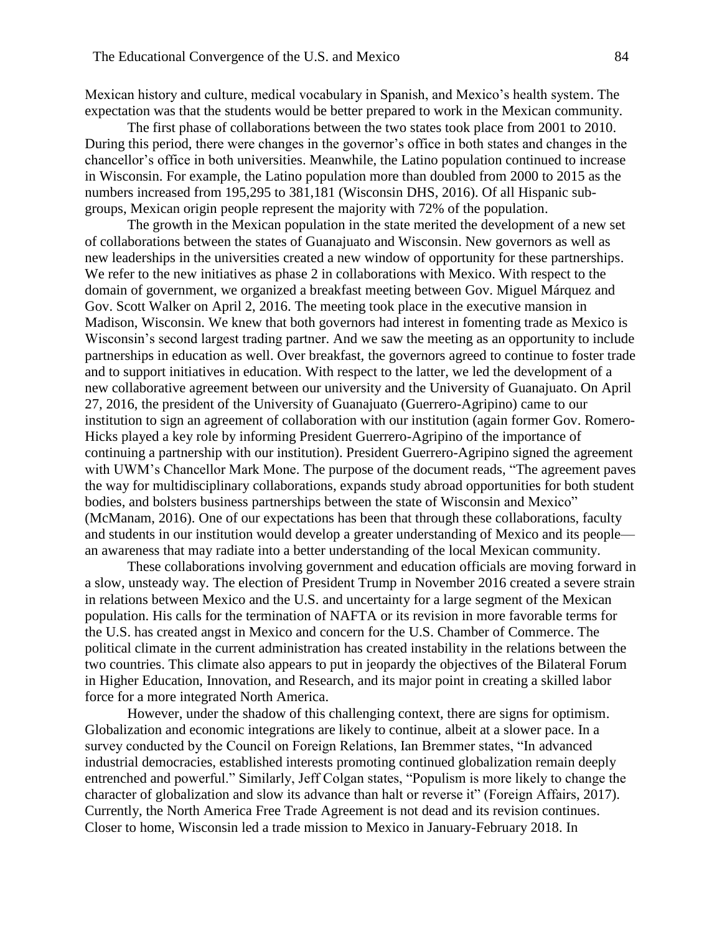Mexican history and culture, medical vocabulary in Spanish, and Mexico's health system. The expectation was that the students would be better prepared to work in the Mexican community.

The first phase of collaborations between the two states took place from 2001 to 2010. During this period, there were changes in the governor's office in both states and changes in the chancellor's office in both universities. Meanwhile, the Latino population continued to increase in Wisconsin. For example, the Latino population more than doubled from 2000 to 2015 as the numbers increased from 195,295 to 381,181 (Wisconsin DHS, 2016). Of all Hispanic subgroups, Mexican origin people represent the majority with 72% of the population.

The growth in the Mexican population in the state merited the development of a new set of collaborations between the states of Guanajuato and Wisconsin. New governors as well as new leaderships in the universities created a new window of opportunity for these partnerships. We refer to the new initiatives as phase 2 in collaborations with Mexico. With respect to the domain of government, we organized a breakfast meeting between Gov. Miguel Márquez and Gov. Scott Walker on April 2, 2016. The meeting took place in the executive mansion in Madison, Wisconsin. We knew that both governors had interest in fomenting trade as Mexico is Wisconsin's second largest trading partner. And we saw the meeting as an opportunity to include partnerships in education as well. Over breakfast, the governors agreed to continue to foster trade and to support initiatives in education. With respect to the latter, we led the development of a new collaborative agreement between our university and the University of Guanajuato. On April 27, 2016, the president of the University of Guanajuato (Guerrero-Agripino) came to our institution to sign an agreement of collaboration with our institution (again former Gov. Romero-Hicks played a key role by informing President Guerrero-Agripino of the importance of continuing a partnership with our institution). President Guerrero-Agripino signed the agreement with UWM's Chancellor Mark Mone. The purpose of the document reads, "The agreement paves the way for multidisciplinary collaborations, expands study abroad opportunities for both student bodies, and bolsters business partnerships between the state of Wisconsin and Mexico" (McManam, 2016). One of our expectations has been that through these collaborations, faculty and students in our institution would develop a greater understanding of Mexico and its people an awareness that may radiate into a better understanding of the local Mexican community.

These collaborations involving government and education officials are moving forward in a slow, unsteady way. The election of President Trump in November 2016 created a severe strain in relations between Mexico and the U.S. and uncertainty for a large segment of the Mexican population. His calls for the termination of NAFTA or its revision in more favorable terms for the U.S. has created angst in Mexico and concern for the U.S. Chamber of Commerce. The political climate in the current administration has created instability in the relations between the two countries. This climate also appears to put in jeopardy the objectives of the Bilateral Forum in Higher Education, Innovation, and Research, and its major point in creating a skilled labor force for a more integrated North America.

However, under the shadow of this challenging context, there are signs for optimism. Globalization and economic integrations are likely to continue, albeit at a slower pace. In a survey conducted by the Council on Foreign Relations, Ian Bremmer states, "In advanced industrial democracies, established interests promoting continued globalization remain deeply entrenched and powerful." Similarly, Jeff Colgan states, "Populism is more likely to change the character of globalization and slow its advance than halt or reverse it" (Foreign Affairs, 2017). Currently, the North America Free Trade Agreement is not dead and its revision continues. Closer to home, Wisconsin led a trade mission to Mexico in January-February 2018. In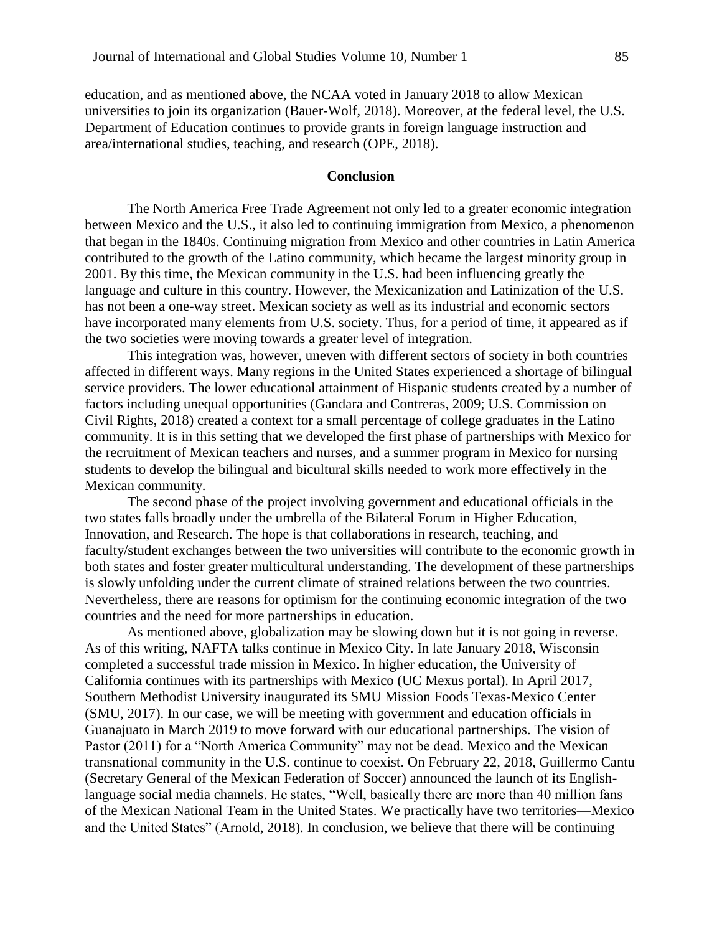education, and as mentioned above, the NCAA voted in January 2018 to allow Mexican universities to join its organization (Bauer-Wolf, 2018). Moreover, at the federal level, the U.S. Department of Education continues to provide grants in foreign language instruction and area/international studies, teaching, and research (OPE, 2018).

## **Conclusion**

The North America Free Trade Agreement not only led to a greater economic integration between Mexico and the U.S., it also led to continuing immigration from Mexico, a phenomenon that began in the 1840s. Continuing migration from Mexico and other countries in Latin America contributed to the growth of the Latino community, which became the largest minority group in 2001. By this time, the Mexican community in the U.S. had been influencing greatly the language and culture in this country. However, the Mexicanization and Latinization of the U.S. has not been a one-way street. Mexican society as well as its industrial and economic sectors have incorporated many elements from U.S. society. Thus, for a period of time, it appeared as if the two societies were moving towards a greater level of integration.

This integration was, however, uneven with different sectors of society in both countries affected in different ways. Many regions in the United States experienced a shortage of bilingual service providers. The lower educational attainment of Hispanic students created by a number of factors including unequal opportunities (Gandara and Contreras, 2009; U.S. Commission on Civil Rights, 2018) created a context for a small percentage of college graduates in the Latino community. It is in this setting that we developed the first phase of partnerships with Mexico for the recruitment of Mexican teachers and nurses, and a summer program in Mexico for nursing students to develop the bilingual and bicultural skills needed to work more effectively in the Mexican community.

The second phase of the project involving government and educational officials in the two states falls broadly under the umbrella of the Bilateral Forum in Higher Education, Innovation, and Research. The hope is that collaborations in research, teaching, and faculty/student exchanges between the two universities will contribute to the economic growth in both states and foster greater multicultural understanding. The development of these partnerships is slowly unfolding under the current climate of strained relations between the two countries. Nevertheless, there are reasons for optimism for the continuing economic integration of the two countries and the need for more partnerships in education.

As mentioned above, globalization may be slowing down but it is not going in reverse. As of this writing, NAFTA talks continue in Mexico City. In late January 2018, Wisconsin completed a successful trade mission in Mexico. In higher education, the University of California continues with its partnerships with Mexico (UC Mexus portal). In April 2017, Southern Methodist University inaugurated its SMU Mission Foods Texas-Mexico Center (SMU, 2017). In our case, we will be meeting with government and education officials in Guanajuato in March 2019 to move forward with our educational partnerships. The vision of Pastor (2011) for a "North America Community" may not be dead. Mexico and the Mexican transnational community in the U.S. continue to coexist. On February 22, 2018, Guillermo Cantu (Secretary General of the Mexican Federation of Soccer) announced the launch of its Englishlanguage social media channels. He states, "Well, basically there are more than 40 million fans of the Mexican National Team in the United States. We practically have two territories—Mexico and the United States" (Arnold, 2018). In conclusion, we believe that there will be continuing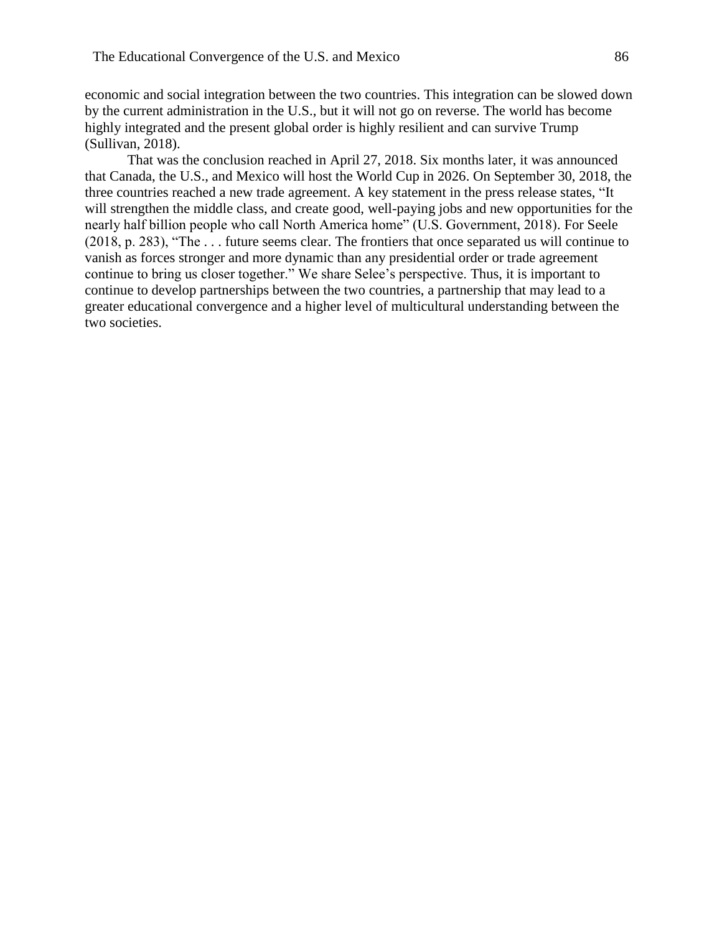economic and social integration between the two countries. This integration can be slowed down by the current administration in the U.S., but it will not go on reverse. The world has become highly integrated and the present global order is highly resilient and can survive Trump (Sullivan, 2018).

That was the conclusion reached in April 27, 2018. Six months later, it was announced that Canada, the U.S., and Mexico will host the World Cup in 2026. On September 30, 2018, the three countries reached a new trade agreement. A key statement in the press release states, "It will strengthen the middle class, and create good, well-paying jobs and new opportunities for the nearly half billion people who call North America home" (U.S. Government, 2018). For Seele (2018, p. 283), "The . . . future seems clear. The frontiers that once separated us will continue to vanish as forces stronger and more dynamic than any presidential order or trade agreement continue to bring us closer together." We share Selee's perspective. Thus, it is important to continue to develop partnerships between the two countries, a partnership that may lead to a greater educational convergence and a higher level of multicultural understanding between the two societies.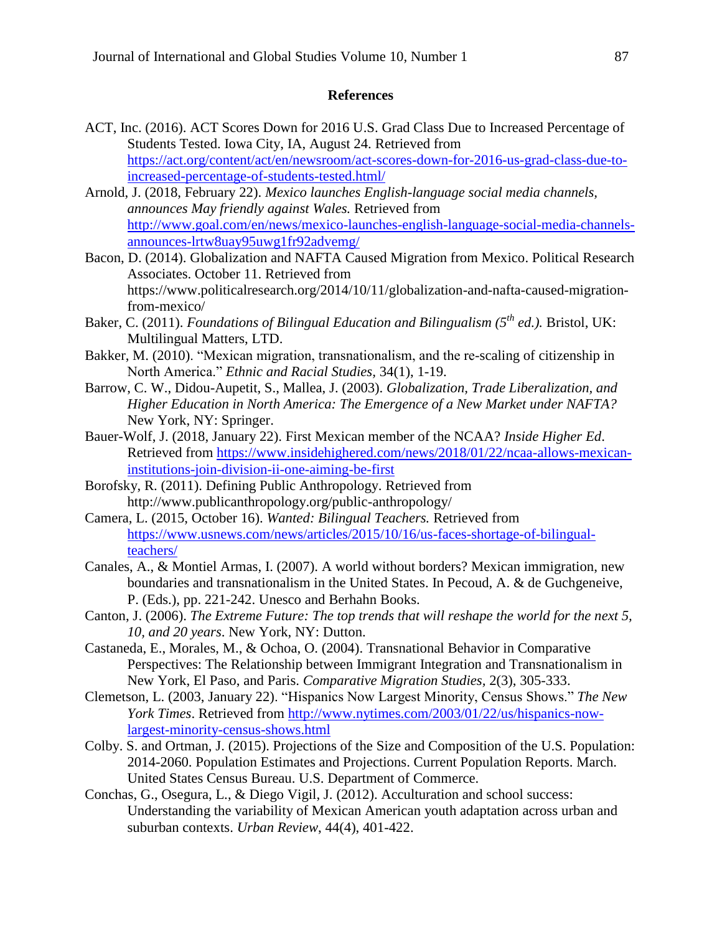#### **References**

- ACT, Inc. (2016). ACT Scores Down for 2016 U.S. Grad Class Due to Increased Percentage of Students Tested. Iowa City, IA, August 24. Retrieved from [https://act.org/content/act/en/newsroom/act-scores-down-for-2016-us-grad-class-due-to](https://act.org/content/act/en/newsroom/act-scores-down-for-2016-us-grad-class-due-to-increased-percentage-of-students-tested.html/)[increased-percentage-of-students-tested.html/](https://act.org/content/act/en/newsroom/act-scores-down-for-2016-us-grad-class-due-to-increased-percentage-of-students-tested.html/)
- Arnold, J. (2018, February 22). *Mexico launches English-language social media channels, announces May friendly against Wales.* Retrieved from [http://www.goal.com/en/news/mexico-launches-english-language-social-media-channels](http://www.goal.com/en/news/mexico-launches-english-language-social-media-channels-announces-lrtw8uay95uwg1fr92advemg/)[announces-lrtw8uay95uwg1fr92advemg/](http://www.goal.com/en/news/mexico-launches-english-language-social-media-channels-announces-lrtw8uay95uwg1fr92advemg/)
- Bacon, D. (2014). Globalization and NAFTA Caused Migration from Mexico. Political Research Associates. October 11. Retrieved from https://www.politicalresearch.org/2014/10/11/globalization-and-nafta-caused-migrationfrom-mexico/
- Baker, C. (2011). *Foundations of Bilingual Education and Bilingualism (5th ed.).* Bristol, UK: Multilingual Matters, LTD.
- Bakker, M. (2010). "Mexican migration, transnationalism, and the re-scaling of citizenship in North America." *Ethnic and Racial Studies,* 34(1), 1-19.
- Barrow, C. W., Didou-Aupetit, S., Mallea, J. (2003). *Globalization, Trade Liberalization, and Higher Education in North America: The Emergence of a New Market under NAFTA?*  New York, NY: Springer.
- Bauer-Wolf, J. (2018, January 22). First Mexican member of the NCAA? *Inside Higher Ed*. Retrieved from [https://www.insidehighered.com/news/2018/01/22/ncaa-allows-mexican](https://www.insidehighered.com/news/2018/01/22/ncaa-allows-mexican-institutions-join-division-ii-one-aiming-be-first)[institutions-join-division-ii-one-aiming-be-first](https://www.insidehighered.com/news/2018/01/22/ncaa-allows-mexican-institutions-join-division-ii-one-aiming-be-first)
- Borofsky, R. (2011). Defining Public Anthropology. Retrieved from http://www.publicanthropology.org/public-anthropology/
- Camera, L. (2015, October 16). *Wanted: Bilingual Teachers.* Retrieved from [https://www.usnews.com/news/articles/2015/10/16/us-faces-shortage-of-bilingual](https://www.usnews.com/news/articles/2015/10/16/us-faces-shortage-of-bilingual-teachers/)[teachers/](https://www.usnews.com/news/articles/2015/10/16/us-faces-shortage-of-bilingual-teachers/)
- Canales, A., & Montiel Armas, I. (2007). A world without borders? Mexican immigration, new boundaries and transnationalism in the United States. In Pecoud, A. & de Guchgeneive, P. (Eds.), pp. 221-242. Unesco and Berhahn Books.
- Canton, J. (2006). *The Extreme Future: The top trends that will reshape the world for the next 5, 10, and 20 years*. New York, NY: Dutton.
- Castaneda, E., Morales, M., & Ochoa, O. (2004). Transnational Behavior in Comparative Perspectives: The Relationship between Immigrant Integration and Transnationalism in New York, El Paso, and Paris. *Comparative Migration Studies,* 2(3), 305-333.
- Clemetson, L. (2003, January 22). "Hispanics Now Largest Minority, Census Shows." *The New York Times*. Retrieved from [http://www.nytimes.com/2003/01/22/us/hispanics-now](http://www.nytimes.com/2003/01/22/us/hispanics-now-largest-minority-census-shows.html)[largest-minority-census-shows.html](http://www.nytimes.com/2003/01/22/us/hispanics-now-largest-minority-census-shows.html)
- Colby. S. and Ortman, J. (2015). Projections of the Size and Composition of the U.S. Population: 2014-2060. Population Estimates and Projections. Current Population Reports. March. United States Census Bureau. U.S. Department of Commerce.
- Conchas, G., Osegura, L., & Diego Vigil, J. (2012). Acculturation and school success: Understanding the variability of Mexican American youth adaptation across urban and suburban contexts. *Urban Review*, 44(4), 401-422.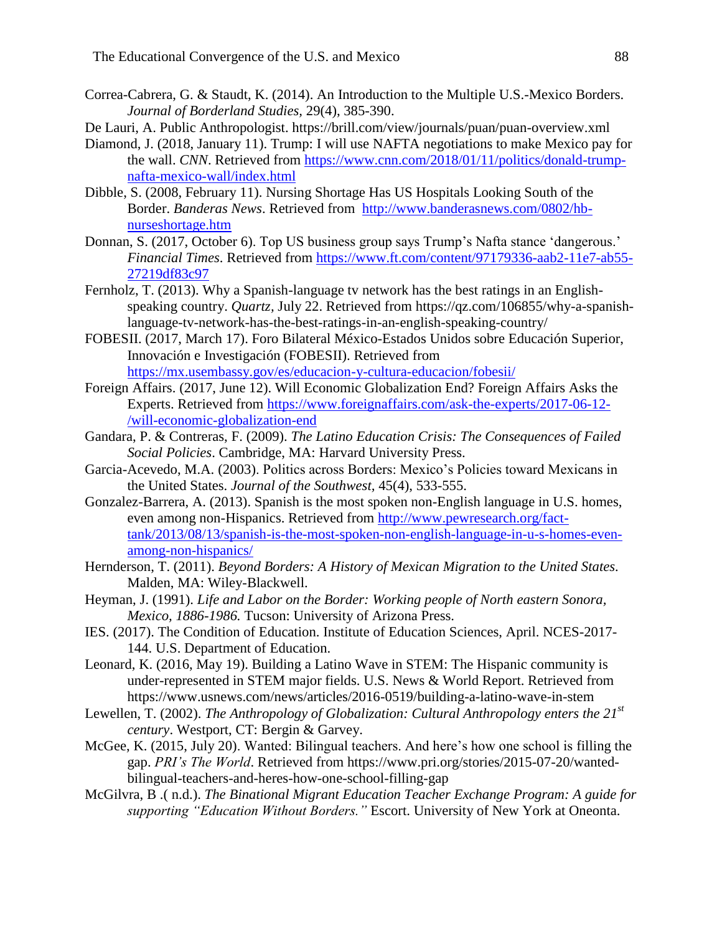- Correa-Cabrera, G. & Staudt, K. (2014). An Introduction to the Multiple U.S.-Mexico Borders. *Journal of Borderland Studies,* 29(4), 385-390.
- De Lauri, A. Public Anthropologist. https://brill.com/view/journals/puan/puan-overview.xml
- Diamond, J. (2018, January 11). Trump: I will use NAFTA negotiations to make Mexico pay for the wall. *CNN*. Retrieved from [https://www.cnn.com/2018/01/11/politics/donald-trump](https://www.cnn.com/2018/01/11/politics/donald-trump-nafta-mexico-wall/index.html)[nafta-mexico-wall/index.html](https://www.cnn.com/2018/01/11/politics/donald-trump-nafta-mexico-wall/index.html)
- Dibble, S. (2008, February 11). Nursing Shortage Has US Hospitals Looking South of the Border. *Banderas News*. Retrieved from [http://www.banderasnews.com/0802/hb](http://www.banderasnews.com/0802/hb-nurseshortage.htm)[nurseshortage.htm](http://www.banderasnews.com/0802/hb-nurseshortage.htm)
- Donnan, S. (2017, October 6). Top US business group says Trump's Nafta stance 'dangerous.' *Financial Times*. Retrieved from [https://www.ft.com/content/97179336-aab2-11e7-ab55-](https://www.ft.com/content/97179336-aab2-11e7-ab55-27219df83c97) [27219df83c97](https://www.ft.com/content/97179336-aab2-11e7-ab55-27219df83c97)
- Fernholz, T. (2013). Why a Spanish-language tv network has the best ratings in an Englishspeaking country. *Quartz,* July 22. Retrieved from https://qz.com/106855/why-a-spanishlanguage-tv-network-has-the-best-ratings-in-an-english-speaking-country/
- FOBESII. (2017, March 17). Foro Bilateral México-Estados Unidos sobre Educación Superior, Innovación e Investigación (FOBESII). Retrieved from <https://mx.usembassy.gov/es/educacion-y-cultura-educacion/fobesii/>
- Foreign Affairs. (2017, June 12). Will Economic Globalization End? Foreign Affairs Asks the Experts. Retrieved from [https://www.foreignaffairs.com/ask-the-experts/2017-06-12-](https://www.foreignaffairs.com/ask-the-experts/2017-06-12-/will-economic-globalization-end) [/will-economic-globalization-end](https://www.foreignaffairs.com/ask-the-experts/2017-06-12-/will-economic-globalization-end)
- Gandara, P. & Contreras, F. (2009). *The Latino Education Crisis: The Consequences of Failed Social Policies*. Cambridge, MA: Harvard University Press.
- Garcia-Acevedo, M.A. (2003). Politics across Borders: Mexico's Policies toward Mexicans in the United States. *Journal of the Southwest,* 45(4), 533-555.
- Gonzalez-Barrera, A. (2013). Spanish is the most spoken non-English language in U.S. homes, even among non-Hispanics. Retrieved from [http://www.pewresearch.org/fact](http://www.pewresearch.org/fact-tank/2013/08/13/spanish-is-the-most-spoken-non-english-language-in-u-s-homes-even-among-non-hispanics/)[tank/2013/08/13/spanish-is-the-most-spoken-non-english-language-in-u-s-homes-even](http://www.pewresearch.org/fact-tank/2013/08/13/spanish-is-the-most-spoken-non-english-language-in-u-s-homes-even-among-non-hispanics/)[among-non-hispanics/](http://www.pewresearch.org/fact-tank/2013/08/13/spanish-is-the-most-spoken-non-english-language-in-u-s-homes-even-among-non-hispanics/)
- Hernderson, T. (2011). *Beyond Borders: A History of Mexican Migration to the United States.*  Malden, MA: Wiley-Blackwell.
- Heyman, J. (1991). *Life and Labor on the Border: Working people of North eastern Sonora, Mexico, 1886-1986.* Tucson: University of Arizona Press.
- IES. (2017). The Condition of Education. Institute of Education Sciences, April. NCES-2017- 144. U.S. Department of Education.
- Leonard, K. (2016, May 19). Building a Latino Wave in STEM: The Hispanic community is under-represented in STEM major fields. U.S. News & World Report. Retrieved from https://www.usnews.com/news/articles/2016-0519/building-a-latino-wave-in-stem
- Lewellen, T. (2002). *The Anthropology of Globalization: Cultural Anthropology enters the 21st century*. Westport, CT: Bergin & Garvey.
- McGee, K. (2015, July 20). Wanted: Bilingual teachers. And here's how one school is filling the gap. *PRI's The World*. Retrieved from https://www.pri.org/stories/2015-07-20/wantedbilingual-teachers-and-heres-how-one-school-filling-gap
- McGilvra, B .( n.d.). *The Binational Migrant Education Teacher Exchange Program: A guide for supporting "Education Without Borders."* Escort. University of New York at Oneonta.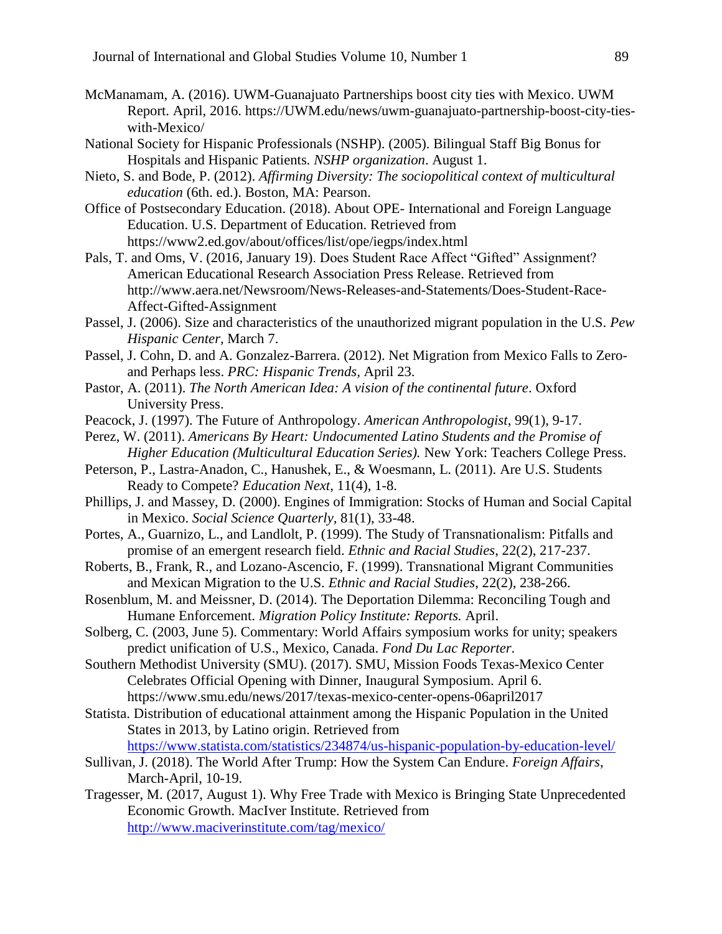- McManamam, A. (2016). UWM-Guanajuato Partnerships boost city ties with Mexico. UWM Report. April, 2016. https://UWM.edu/news/uwm-guanajuato-partnership-boost-city-tieswith-Mexico/
- National Society for Hispanic Professionals (NSHP). (2005). Bilingual Staff Big Bonus for Hospitals and Hispanic Patients*. NSHP organization*. August 1.
- Nieto, S. and Bode, P. (2012). *Affirming Diversity: The sociopolitical context of multicultural education* (6th. ed.). Boston, MA: Pearson.
- Office of Postsecondary Education. (2018). About OPE- International and Foreign Language Education. U.S. Department of Education. Retrieved from https://www2.ed.gov/about/offices/list/ope/iegps/index.html
- Pals, T. and Oms, V. (2016, January 19). Does Student Race Affect "Gifted" Assignment? American Educational Research Association Press Release. Retrieved from http://www.aera.net/Newsroom/News-Releases-and-Statements/Does-Student-Race-Affect-Gifted-Assignment
- Passel, J. (2006). Size and characteristics of the unauthorized migrant population in the U.S. *Pew Hispanic Center,* March 7.
- Passel, J. Cohn, D. and A. Gonzalez-Barrera. (2012). Net Migration from Mexico Falls to Zeroand Perhaps less. *PRC: Hispanic Trends,* April 23.
- Pastor, A. (2011). *The North American Idea: A vision of the continental future*. Oxford University Press.
- Peacock, J. (1997). The Future of Anthropology. *American Anthropologist*, 99(1), 9-17.
- Perez, W. (2011). *Americans By Heart: Undocumented Latino Students and the Promise of Higher Education (Multicultural Education Series).* New York: Teachers College Press.
- Peterson, P., Lastra-Anadon, C., Hanushek, E., & Woesmann, L. (2011). Are U.S. Students Ready to Compete? *Education Next*, 11(4), 1-8.
- Phillips, J. and Massey, D. (2000). Engines of Immigration: Stocks of Human and Social Capital in Mexico. *Social Science Quarterly*, 81(1), 33-48.
- Portes, A., Guarnizo, L., and Landlolt, P. (1999). The Study of Transnationalism: Pitfalls and promise of an emergent research field. *Ethnic and Racial Studies*, 22(2), 217-237.
- Roberts, B., Frank, R., and Lozano-Ascencio, F. (1999). Transnational Migrant Communities and Mexican Migration to the U.S. *Ethnic and Racial Studies*, 22(2), 238-266.
- Rosenblum, M. and Meissner, D. (2014). The Deportation Dilemma: Reconciling Tough and Humane Enforcement. *Migration Policy Institute: Reports.* April.
- Solberg, C. (2003, June 5). Commentary: World Affairs symposium works for unity; speakers predict unification of U.S., Mexico, Canada. *Fond Du Lac Reporter*.
- Southern Methodist University (SMU). (2017). SMU, Mission Foods Texas-Mexico Center Celebrates Official Opening with Dinner, Inaugural Symposium. April 6. https://www.smu.edu/news/2017/texas-mexico-center-opens-06april2017
- Statista. Distribution of educational attainment among the Hispanic Population in the United States in 2013, by Latino origin. Retrieved from

<https://www.statista.com/statistics/234874/us-hispanic-population-by-education-level/>

- Sullivan, J. (2018). The World After Trump: How the System Can Endure. *Foreign Affairs*, March-April, 10-19.
- Tragesser, M. (2017, August 1). Why Free Trade with Mexico is Bringing State Unprecedented Economic Growth. MacIver Institute. Retrieved from <http://www.maciverinstitute.com/tag/mexico/>